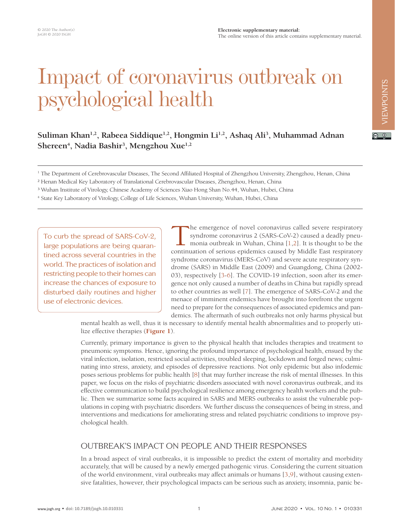#### **Electronic supplementary material:** The online version of this article contains supplementary material.

 $\boxed{6}$  0

# Suliman Khan<sup>1,2</sup>, Rabeea Siddique<sup>1,2</sup>, Hongmin Li<sup>1,2</sup>, Ashaq Ali<sup>3</sup>, Muhammad Adnan Shereen<sup>4</sup>, Nadia Bashir<sup>3</sup>, Mengzhou Xue<sup>1,2</sup>

Impact of coronavirus outbreak on

<sup>1</sup> The Department of Cerebrovascular Diseases, The Second Affiliated Hospital of Zhengzhou University, Zhengzhou, Henan, China

² Henan Medical Key Laboratory of Translational Cerebrovascular Diseases, Zhengzhou, Henan, China

psychological health

³ Wuhan Institute of Virology, Chinese Academy of Sciences Xiao Hong Shan No.44, Wuhan, Hubei, China

4 State Key Laboratory of Virology, College of Life Sciences, Wuhan University, Wuhan, Hubei, China

To curb the spread of SARS-CoV-2, large populations are being quarantined across several countries in the world. The practices of isolation and restricting people to their homes can increase the chances of exposure to disturbed daily routines and higher use of electronic devices.

The emergence of novel coronavirus called severe respiratory syndrome coronavirus 2 (SARS-CoV-2) caused a deadly pneumonia outbreak in Wuhan, China [1,2]. It is thought to be the continuation of serious epidemics caused by Middle East respiratory syndrome coronavirus (MERS-CoV) and severe acute respiratory syndrome (SARS) in Middle East (2009) and Guangdong, China (2002- 03), respectively [\[3](#page-5-2)[-6\]](#page-5-3). The COVID-19 infection, soon after its emergence not only caused a number of deaths in China but rapidly spread to other countries as well [\[7\]](#page-5-4). The emergence of SARS-CoV-2 and the menace of imminent endemics have brought into forefront the urgent need to prepare for the consequences of associated epidemics and pandemics. The aftermath of such outbreaks not only harms physical but

mental health as well, thus it is necessary to identify mental health abnormalities and to properly utilize effective therapies (**[Figure 1](#page-2-0)**).

Currently, primary importance is given to the physical health that includes therapies and treatment to pneumonic symptoms. Hence, ignoring the profound importance of psychological health, ensued by the viral infection, isolation, restricted social activities, troubled sleeping, lockdown and forged news; culminating into stress, anxiety, and episodes of depressive reactions. Not only epidemic but also infodemic poses serious problems for public health [[8](#page-5-5)] that may further increase the risk of mental illnesses. In this paper, we focus on the risks of psychiatric disorders associated with novel coronavirus outbreak, and its effective communication to build psychological resilience among emergency health workers and the public. Then we summarize some facts acquired in SARS and MERS outbreaks to assist the vulnerable populations in coping with psychiatric disorders. We further discuss the consequences of being in stress, and interventions and medications for ameliorating stress and related psychiatric conditions to improve psychological health.

## OUTBREAK'S IMPACT ON PEOPLE AND THEIR RESPONSES

In a broad aspect of viral outbreaks, it is impossible to predict the extent of mortality and morbidity accurately, that will be caused by a newly emerged pathogenic virus. Considering the current situation of the world environment, viral outbreaks may affect animals or humans [\[3,](#page-5-2)[9\]](#page-5-6), without causing extensive fatalities, however, their psychological impacts can be serious such as anxiety, insomnia, panic be-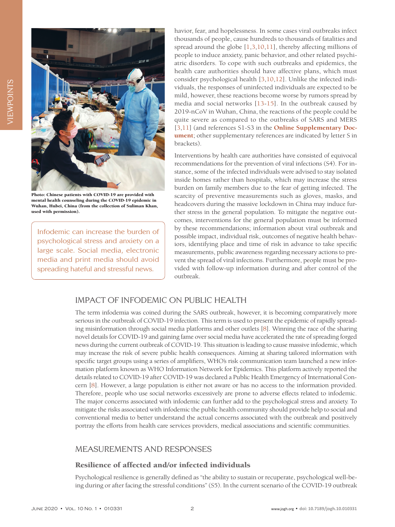

Photo: Chinese patients with COVID-19 are provided with mental health counseling during the COVID-19 epidemic in Wuhan, Hubei, China (from the collection of Suliman Khan, used with permission).

Infodemic can increase the burden of psychological stress and anxiety on a large scale. Social media, electronic media and print media should avoid spreading hateful and stressful news.

havior, fear, and hopelessness. In some cases viral outbreaks infect thousands of people, cause hundreds to thousands of fatalities and spread around the globe [\[1,](#page-5-0)[3,](#page-5-2)[10,](#page-5-7)[11](#page-5-8)], thereby affecting millions of people to induce anxiety, panic behavior, and other related psychiatric disorders. To cope with such outbreaks and epidemics, the health care authorities should have affective plans, which must consider psychological health [[3](#page-5-2),[10](#page-5-7)[,12](#page-5-9)]. Unlike the infected individuals, the responses of uninfected individuals are expected to be mild, however, these reactions become worse by rumors spread by media and social networks [\[13-](#page-5-10)[15](#page-5-11)]. In the outbreak caused by 2019-nCoV in Wuhan, China, the reactions of the people could be quite severe as compared to the outbreaks of SARS and MERS [[3](#page-5-2),[11\]](#page-5-8) (and references S1-S3 in the **[Online Supplementary Doc](#page-4-0)[ument](#page-4-0)**; other supplementary references are indicated by letter S in brackets).

Interventions by health care authorities have consisted of equivocal recommendations for the prevention of viral infections (S4). For instance, some of the infected individuals were advised to stay isolated inside homes rather than hospitals, which may increase the stress burden on family members due to the fear of getting infected. The scarcity of preventive measurements such as gloves, masks, and headcovers during the massive lockdown in China may induce further stress in the general population. To mitigate the negative outcomes, interventions for the general population must be informed by these recommendations; information about viral outbreak and possible impact, individual risk, outcomes of negative health behaviors, identifying place and time of risk in advance to take specific measurements, public awareness regarding necessary actions to prevent the spread of viral infections. Furthermore, people must be provided with follow-up information during and after control of the outbreak.

### IMPACT OF INFODEMIC ON PUBLIC HEALTH

The term infodemia was coined during the SARS outbreak, however, it is becoming comparatively more serious in the outbreak of COVID-19 infection. This term is used to present the epidemic of rapidly spreading misinformation through social media platforms and other outlets [[8\]](#page-5-5). Winning the race of the sharing novel details for COVID-19 and gaining fame over social media have accelerated the rate of spreading forged news during the current outbreak of COVID-19. This situation is leading to cause massive infodemic, which may increase the risk of severe public health consequences. Aiming at sharing tailored information with specific target groups using a series of amplifiers, WHO's risk communication team launched a new information platform known as WHO Information Network for Epidemics. This platform actively reported the details related to COVID-19 after COVID-19 was declared a Public Health Emergency of International Concern [[8](#page-5-5)]. However, a large population is either not aware or has no access to the information provided. Therefore, people who use social networks excessively are prone to adverse effects related to infodemic. The major concerns associated with infodemic can further add to the psychological stress and anxiety. To mitigate the risks associated with infodemic the public health community should provide help to social and conventional media to better understand the actual concerns associated with the outbreak and positively portray the efforts from health care services providers, medical associations and scientific communities.

### MEASUREMENTS AND RESPONSES

#### Resilience of affected and/or infected individuals

Psychological resilience is generally defined as "the ability to sustain or recuperate, psychological well-being during or after facing the stressful conditions" (S5). In the current scenario of the COVID-19 outbreak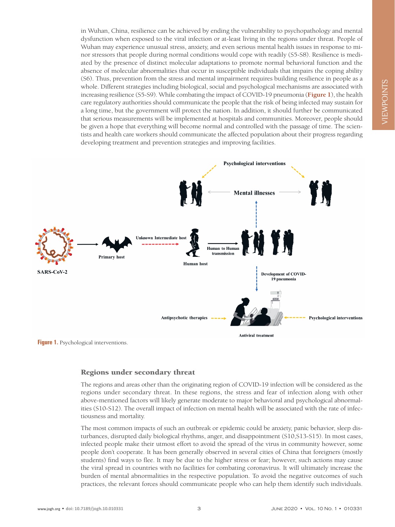in Wuhan, China, resilience can be achieved by ending the vulnerability to psychopathology and mental dysfunction when exposed to the viral infection or at-least living in the regions under threat. People of Wuhan may experience unusual stress, anxiety, and even serious mental health issues in response to minor stressors that people during normal conditions would cope with readily (S5-S8). Resilience is mediated by the presence of distinct molecular adaptations to promote normal behavioral function and the absence of molecular abnormalities that occur in susceptible individuals that impairs the coping ability (S6). Thus, prevention from the stress and mental impairment requires building resilience in people as a whole. Different strategies including biological, social and psychological mechanisms are associated with increasing resilience (S5-S9). While combating the impact of COVID-19 pneumonia (**[Figure 1](#page-2-0)**), the health care regulatory authorities should communicate the people that the risk of being infected may sustain for a long time, but the government will protect the nation. In addition, it should further be communicated that serious measurements will be implemented at hospitals and communities. Moreover, people should be given a hope that everything will become normal and controlled with the passage of time. The scientists and health care workers should communicate the affected population about their progress regarding developing treatment and prevention strategies and improving facilities.

<span id="page-2-0"></span>

#### **Figure 1.** Psychological interventions.

#### Regions under secondary threat

The regions and areas other than the originating region of COVID-19 infection will be considered as the regions under secondary threat. In these regions, the stress and fear of infection along with other above-mentioned factors will likely generate moderate to major behavioral and psychological abnormalities (S10-S12). The overall impact of infection on mental health will be associated with the rate of infectiousness and mortality.

The most common impacts of such an outbreak or epidemic could be anxiety, panic behavior, sleep disturbances, disrupted daily biological rhythms, anger, and disappointment (S10,S13-S15). In most cases, infected people make their utmost effort to avoid the spread of the virus in community however, some people don't cooperate. It has been generally observed in several cities of China that foreigners (mostly students) find ways to flee. It may be due to the higher stress or fear; however, such actions may cause the viral spread in countries with no facilities for combating coronavirus. It will ultimately increase the burden of mental abnormalities in the respective population. To avoid the negative outcomes of such practices, the relevant forces should communicate people who can help them identify such individuals.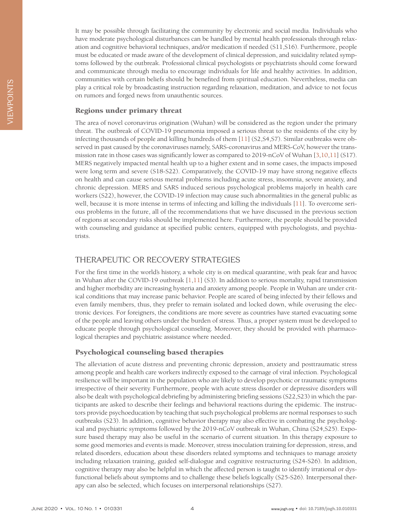#### Regions under primary threat

The area of novel coronavirus origination (Wuhan) will be considered as the region under the primary threat. The outbreak of COVID-19 pneumonia imposed a serious threat to the residents of the city by infecting thousands of people and killing hundreds of them [\[11\]](#page-5-8) (S2,S4,S7). Similar outbreaks were observed in past caused by the coronaviruses namely, SARS-coronavirus and MERS-CoV, however the transmission rate in those cases was significantly lower as compared to 2019-nCoV of Wuhan [[3](#page-5-2)[,10,](#page-5-7)[11\]](#page-5-8) (S17). MERS negatively impacted mental health up to a higher extent and in some cases, the impacts imposed were long term and severe (S18-S22). Comparatively, the COVID-19 may have strong negative effects on health and can cause serious mental problems including acute stress, insomnia, severe anxiety, and chronic depression. MERS and SARS induced serious psychological problems majorly in health care workers (S22), however, the COVID-19 infection may cause such abnormalities in the general public as well, because it is more intense in terms of infecting and killing the individuals [[11](#page-5-8)]. To overcome serious problems in the future, all of the recommendations that we have discussed in the previous section of regions at secondary risks should be implemented here. Furthermore, the people should be provided with counseling and guidance at specified public centers, equipped with psychologists, and psychiatrists.

### THERAPEUTIC OR RECOVERY STRATEGIES

For the first time in the world's history, a whole city is on medical quarantine, with peak fear and havoc in Wuhan after the COVID-19 outbreak [[1,](#page-5-0)[11](#page-5-8)] (S3). In addition to serious mortality, rapid transmission and higher morbidity are increasing hysteria and anxiety among people. People in Wuhan are under critical conditions that may increase panic behavior. People are scared of being infected by their fellows and even family members, thus, they prefer to remain isolated and locked down, while overusing the electronic devices. For foreigners, the conditions are more severe as countries have started evacuating some of the people and leaving others under the burden of stress. Thus, a proper system must be developed to educate people through psychological counseling. Moreover, they should be provided with pharmacological therapies and psychiatric assistance where needed.

#### Psychological counseling based therapies

The alleviation of acute distress and preventing chronic depression, anxiety and posttraumatic stress among people and health care workers indirectly exposed to the carnage of viral infection. Psychological resilience will be important in the population who are likely to develop psychotic or traumatic symptoms irrespective of their severity. Furthermore, people with acute stress disorder or depressive disorders will also be dealt with psychological debriefing by administering briefing sessions (S22,S23) in which the participants are asked to describe their feelings and behavioral reactions during the epidemic. The instructors provide psychoeducation by teaching that such psychological problems are normal responses to such outbreaks (S23). In addition, cognitive behavior therapy may also effective in combating the psychological and psychiatric symptoms followed by the 2019-nCoV outbreak in Wuhan, China (S24,S25). Exposure based therapy may also be useful in the scenario of current situation. In this therapy exposure to some good memories and events is made. Moreover, stress inoculation training for depression, stress, and related disorders, education about these disorders related symptoms and techniques to manage anxiety including relaxation training, guided self-dialogue and cognitive restructuring (S24-S26). In addition, cognitive therapy may also be helpful in which the affected person is taught to identify irrational or dysfunctional beliefs about symptoms and to challenge these beliefs logically (S25-S26). Interpersonal therapy can also be selected, which focuses on interpersonal relationships (S27).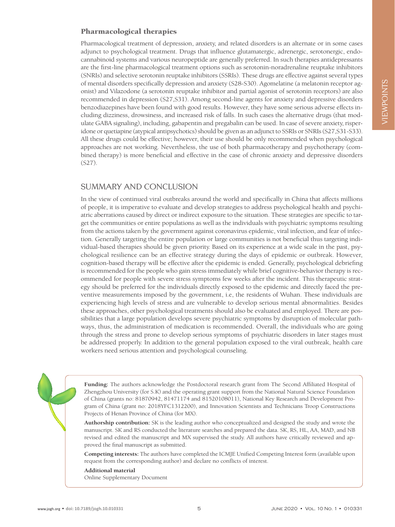#### Pharmacological therapies

Pharmacological treatment of depression, anxiety, and related disorders is an alternate or in some cases adjunct to psychological treatment. Drugs that influence glutamatergic, adrenergic, serotonergic, endocannabinoid systems and various neuropeptide are generally preferred. In such therapies antidepressants are the first-line pharmacological treatment options such as serotonin-noradrenaline reuptake inhibitors (SNRIs) and selective serotonin reuptake inhibitors (SSRIs). These drugs are effective against several types of mental disorders specifically depression and anxiety (S28-S30). Agomelatine (a melatonin receptor agonist) and Vilazodone (a serotonin reuptake inhibitor and partial agonist of serotonin receptors) are also recommended in depression (S27,S31). Among second-line agents for anxiety and depressive disorders benzodiazepines have been found with good results. However, they have some serious adverse effects including dizziness, drowsiness, and increased risk of falls. In such cases the alternative drugs (that modulate GABA signaling), including, gabapentin and pregabalin can be used. In case of severe anxiety, risperidone or quetiapine (atypical antipsychotics) should be given as an adjunct to SSRIs or SNRIs (S27,S31-S33). All these drugs could be effective; however, their use should be only recommended when psychological approaches are not working. Nevertheless, the use of both pharmacotherapy and psychotherapy (combined therapy) is more beneficial and effective in the case of chronic anxiety and depressive disorders (S27).

### SUMMARY AND CONCLUSION

In the view of continued viral outbreaks around the world and specifically in China that affects millions of people, it is imperative to evaluate and develop strategies to address psychological health and psychiatric aberrations caused by direct or indirect exposure to the situation. These strategies are specific to target the communities or entire populations as well as the individuals with psychiatric symptoms resulting from the actions taken by the government against coronavirus epidemic, viral infection, and fear of infection. Generally targeting the entire population or large communities is not beneficial thus targeting individual-based therapies should be given priority. Based on its experience at a wide scale in the past, psychological resilience can be an effective strategy during the days of epidemic or outbreak. However, cognition-based therapy will be effective after the epidemic is ended. Generally, psychological debriefing is recommended for the people who gain stress immediately while brief cognitive-behavior therapy is recommended for people with severe stress symptoms few weeks after the incident. This therapeutic strategy should be preferred for the individuals directly exposed to the epidemic and directly faced the preventive measurements imposed by the government, i.e, the residents of Wuhan. These individuals are experiencing high levels of stress and are vulnerable to develop serious mental abnormalities. Besides these approaches, other psychological treatments should also be evaluated and employed. There are possibilities that a large population develops severe psychiatric symptoms by disruption of molecular pathways, thus, the administration of medication is recommended. Overall, the individuals who are going through the stress and prone to develop serious symptoms of psychiatric disorders in later stages must be addressed properly. In addition to the general population exposed to the viral outbreak, health care workers need serious attention and psychological counseling.

**Funding:** The authors acknowledge the Postdoctoral research grant from The Second Affiliated Hospital of Zhengzhou University (for S.K) and the operating grant support from the National Natural Science Foundation of China (grants no: 81870942, 81471174 and 81520108011), National Key Research and Development Program of China (grant no: 2018YFC1312200), and Innovation Scientists and Technicians Troop Constructions Projects of Henan Province of China (for MX).

**Authorship contribution:** SK is the leading author who conceptualized and designed the study and wrote the manuscript. SK and RS conducted the literature searches and prepared the data. SK, RS, HL, AA, MAD, and NB revised and edited the manuscript and MX supervised the study. All authors have critically reviewed and approved the final manuscript as submitted.

**Competing interests:** The authors have completed the ICMJE Unified Competing Interest form (available upon request from the corresponding author) and declare no conflicts of interest.

<span id="page-4-0"></span>**Additional material** [Online Supplementary Document](http://jogh.org/documents/issue202001/jogh-10-010331-s001.pdf)